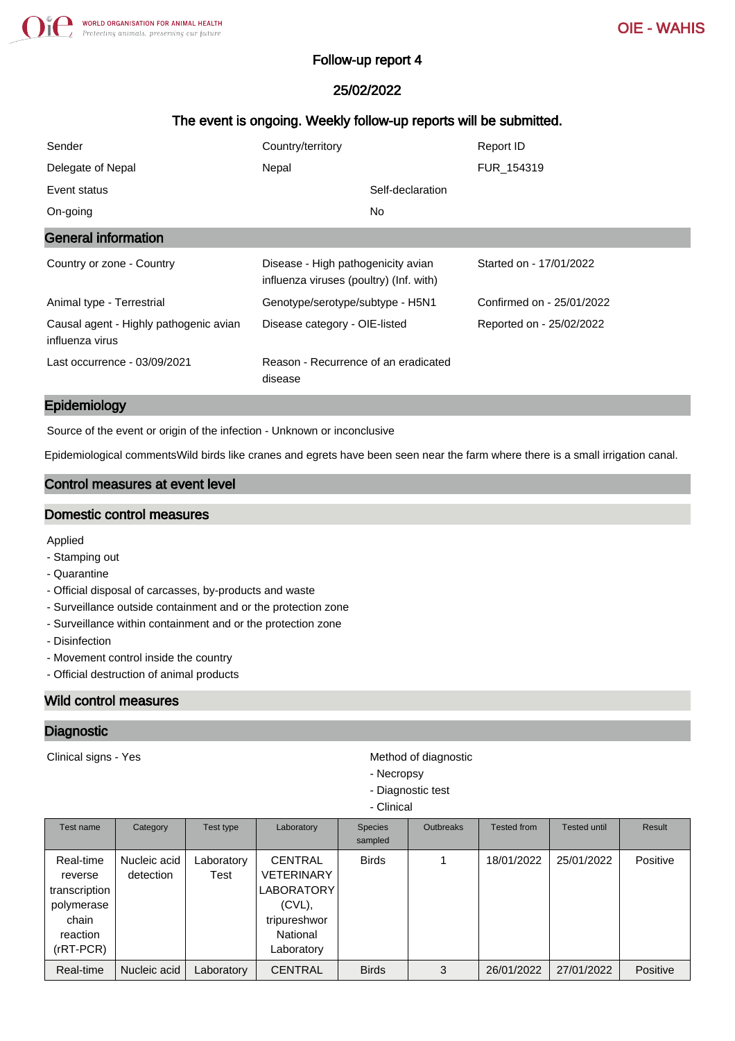## Follow-up report 4

## 25/02/2022

## The event is ongoing. Weekly follow-up reports will be submitted.

| Sender                                                    | Country/territory                                                             | Report ID                 |
|-----------------------------------------------------------|-------------------------------------------------------------------------------|---------------------------|
| Delegate of Nepal                                         | Nepal                                                                         | FUR 154319                |
| Event status                                              | Self-declaration                                                              |                           |
| On-going                                                  | No.                                                                           |                           |
| <b>General information</b>                                |                                                                               |                           |
| Country or zone - Country                                 | Disease - High pathogenicity avian<br>influenza viruses (poultry) (Inf. with) | Started on - 17/01/2022   |
| Animal type - Terrestrial                                 | Genotype/serotype/subtype - H5N1                                              | Confirmed on - 25/01/2022 |
| Causal agent - Highly pathogenic avian<br>influenza virus | Disease category - OIE-listed                                                 | Reported on - 25/02/2022  |
| Last occurrence - 03/09/2021                              | Reason - Recurrence of an eradicated<br>disease                               |                           |

#### Epidemiology

Source of the event or origin of the infection - Unknown or inconclusive

Epidemiological commentsWild birds like cranes and egrets have been seen near the farm where there is a small irrigation canal.

# Control measures at event level

#### Domestic control measures

Applied

- Stamping out
- Quarantine
- Official disposal of carcasses, by-products and waste
- Surveillance outside containment and or the protection zone
- Surveillance within containment and or the protection zone
- Disinfection
- Movement control inside the country
- Official destruction of animal products

## Wild control measures

#### **Diagnostic**

Clinical signs - Yes **Method of diagnostic** Method of diagnostic

- Necropsy
- Diagnostic test
- Clinical

| Test name                                                                               | Category                  | Test type          | Laboratory                                                                                               | <b>Species</b><br>sampled | <b>Outbreaks</b> | <b>Tested from</b> | Tested until | Result   |
|-----------------------------------------------------------------------------------------|---------------------------|--------------------|----------------------------------------------------------------------------------------------------------|---------------------------|------------------|--------------------|--------------|----------|
| Real-time<br>reverse<br>transcription<br>polymerase<br>chain<br>reaction<br>$(rRT-PCR)$ | Nucleic acid<br>detection | Laboratory<br>Test | <b>CENTRAL</b><br><b>VETERINARY</b><br>LABORATORY<br>$(CVL)$ ,<br>tripureshwor<br>National<br>Laboratory | <b>Birds</b>              |                  | 18/01/2022         | 25/01/2022   | Positive |
| Real-time                                                                               | Nucleic acid              | Laboratory         | <b>CENTRAL</b>                                                                                           | <b>Birds</b>              | 3                | 26/01/2022         | 27/01/2022   | Positive |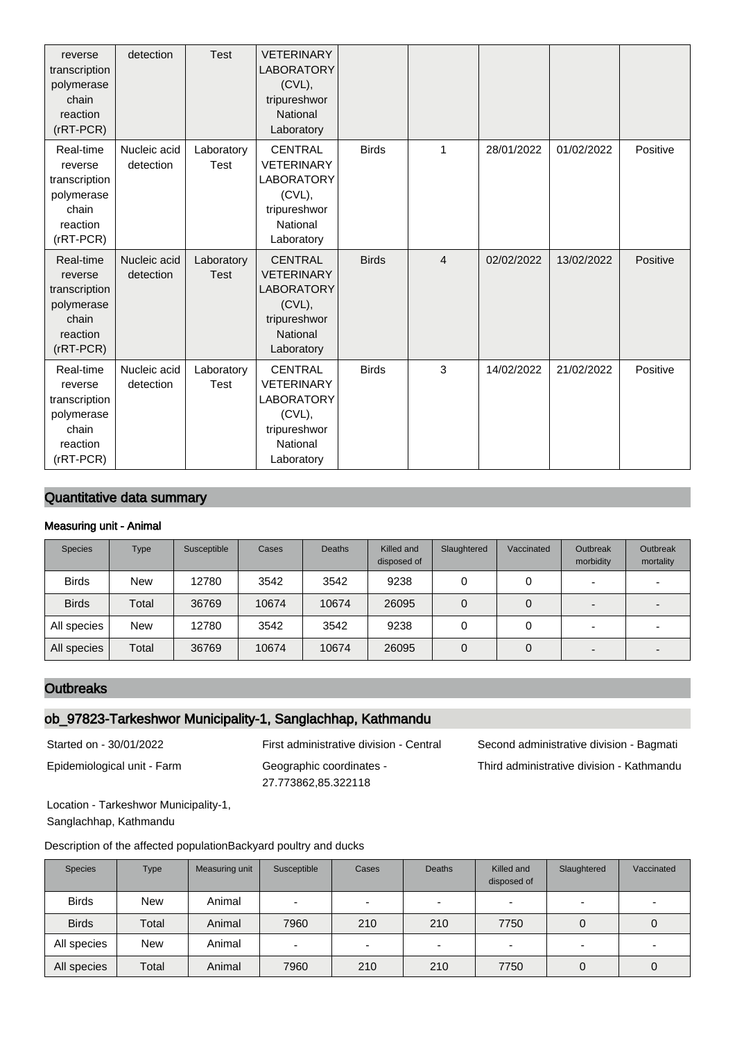| reverse<br>transcription<br>polymerase<br>chain<br>reaction<br>$(rRT-PCR)$              | detection                 | <b>Test</b>               | <b>VETERINARY</b><br><b>LABORATORY</b><br>(CVL),<br>tripureshwor<br>National<br>Laboratory                   |              |                |            |            |          |
|-----------------------------------------------------------------------------------------|---------------------------|---------------------------|--------------------------------------------------------------------------------------------------------------|--------------|----------------|------------|------------|----------|
| Real-time<br>reverse<br>transcription<br>polymerase<br>chain<br>reaction<br>$(rRT-PCR)$ | Nucleic acid<br>detection | Laboratory<br>Test        | <b>CENTRAL</b><br><b>VETERINARY</b><br><b>LABORATORY</b><br>(CVL),<br>tripureshwor<br>National<br>Laboratory | <b>Birds</b> | 1              | 28/01/2022 | 01/02/2022 | Positive |
| Real-time<br>reverse<br>transcription<br>polymerase<br>chain<br>reaction<br>$(rRT-PCR)$ | Nucleic acid<br>detection | Laboratory<br><b>Test</b> | <b>CENTRAL</b><br><b>VETERINARY</b><br><b>LABORATORY</b><br>(CVL),<br>tripureshwor<br>National<br>Laboratory | <b>Birds</b> | $\overline{4}$ | 02/02/2022 | 13/02/2022 | Positive |
| Real-time<br>reverse<br>transcription<br>polymerase<br>chain<br>reaction<br>$(rRT-PCR)$ | Nucleic acid<br>detection | Laboratory<br>Test        | <b>CENTRAL</b><br><b>VETERINARY</b><br><b>LABORATORY</b><br>(CVL),<br>tripureshwor<br>National<br>Laboratory | <b>Birds</b> | 3              | 14/02/2022 | 21/02/2022 | Positive |

# Quantitative data summary

#### Measuring unit - Animal

| <b>Species</b> | Type       | Susceptible | Cases | <b>Deaths</b> | Killed and<br>disposed of | Slaughtered | Vaccinated | <b>Outbreak</b><br>morbidity | Outbreak<br>mortality |
|----------------|------------|-------------|-------|---------------|---------------------------|-------------|------------|------------------------------|-----------------------|
| <b>Birds</b>   | <b>New</b> | 12780       | 3542  | 3542          | 9238                      | 0           | 0          | -                            |                       |
| <b>Birds</b>   | Total      | 36769       | 10674 | 10674         | 26095                     | 0           | 0          | $\overline{\phantom{0}}$     |                       |
| All species    | <b>New</b> | 12780       | 3542  | 3542          | 9238                      | 0           | 0          | -                            |                       |
| All species    | Total      | 36769       | 10674 | 10674         | 26095                     | 0           | 0          | -                            |                       |

#### **Outbreaks**

# ob\_97823-Tarkeshwor Municipality-1, Sanglachhap, Kathmandu

Epidemiological unit - Farm Geographic coordinates - 27.773862,85.322118

Started on - 30/01/2022 First administrative division - Central Second administrative division - Bagmati Third administrative division - Kathmandu

Location - Tarkeshwor Municipality-1, Sanglachhap, Kathmandu

Description of the affected populationBackyard poultry and ducks

| <b>Species</b> | Type       | Measuring unit | Susceptible | Cases                    | <b>Deaths</b> | Killed and<br>disposed of | Slaughtered    | Vaccinated |
|----------------|------------|----------------|-------------|--------------------------|---------------|---------------------------|----------------|------------|
| <b>Birds</b>   | <b>New</b> | Animal         | -           | $\overline{\phantom{0}}$ |               | $\overline{\phantom{0}}$  | $\blacksquare$ |            |
| <b>Birds</b>   | Total      | Animal         | 7960        | 210                      | 210           | 7750                      |                | 0          |
| All species    | <b>New</b> | Animal         | -           | $\overline{\phantom{0}}$ |               | -                         | $\blacksquare$ |            |
| All species    | Total      | Animal         | 7960        | 210                      | 210           | 7750                      |                | 0          |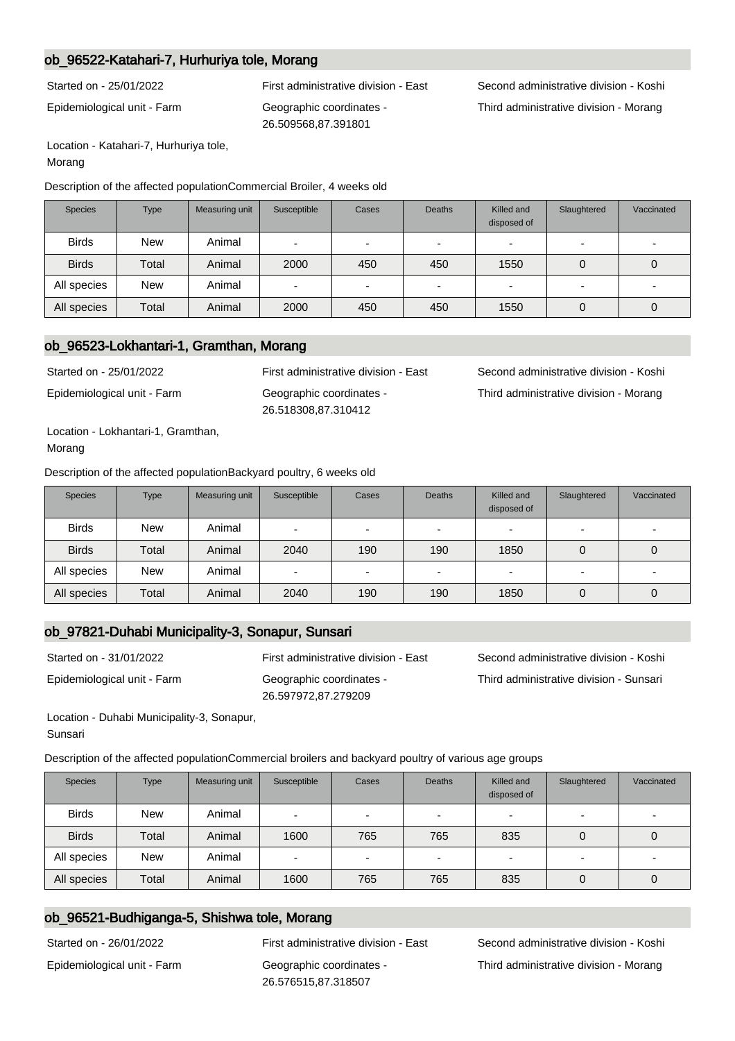## ob\_96522-Katahari-7, Hurhuriya tole, Morang

Epidemiological unit - Farm Geographic coordinates - 26.509568,87.391801

Started on - 25/01/2022 First administrative division - East Second administrative division - Koshi Third administrative division - Morang

Location - Katahari-7, Hurhuriya tole, Morang

Description of the affected populationCommercial Broiler, 4 weeks old

| <b>Species</b> | <b>Type</b> | Measuring unit | Susceptible | Cases                    | <b>Deaths</b>            | Killed and<br>disposed of | Slaughtered              | Vaccinated               |
|----------------|-------------|----------------|-------------|--------------------------|--------------------------|---------------------------|--------------------------|--------------------------|
| <b>Birds</b>   | <b>New</b>  | Animal         | -           | $\blacksquare$           | $\overline{\phantom{0}}$ | -                         | -                        | $\overline{\phantom{0}}$ |
| <b>Birds</b>   | Total       | Animal         | 2000        | 450                      | 450                      | 1550                      | 0                        |                          |
| All species    | <b>New</b>  | Animal         |             | $\overline{\phantom{0}}$ | -                        |                           | $\overline{\phantom{0}}$ |                          |
| All species    | Total       | Animal         | 2000        | 450                      | 450                      | 1550                      | 0                        |                          |

### ob\_96523-Lokhantari-1, Gramthan, Morang

Epidemiological unit - Farm Geographic coordinates -

26.518308,87.310412

Started on - 25/01/2022 First administrative division - East Second administrative division - Koshi Third administrative division - Morang

Location - Lokhantari-1, Gramthan, Morang

Description of the affected populationBackyard poultry, 6 weeks old

| <b>Species</b> | <b>Type</b> | Measuring unit | Susceptible | Cases                    | <b>Deaths</b>            | Killed and<br>disposed of | Slaughtered | Vaccinated |
|----------------|-------------|----------------|-------------|--------------------------|--------------------------|---------------------------|-------------|------------|
| <b>Birds</b>   | <b>New</b>  | Animal         | -           | $\overline{\phantom{0}}$ | $\overline{\phantom{0}}$ |                           | -           |            |
| <b>Birds</b>   | Total       | Animal         | 2040        | 190                      | 190                      | 1850                      | 0           |            |
| All species    | <b>New</b>  | Animal         | -           | $\sim$                   | $\overline{\phantom{a}}$ |                           | -           |            |
| All species    | Total       | Animal         | 2040        | 190                      | 190                      | 1850                      | 0           |            |

## ob\_97821-Duhabi Municipality-3, Sonapur, Sunsari

Epidemiological unit - Farm Geographic coordinates - 26.597972,87.279209

Started on - 31/01/2022 First administrative division - East Second administrative division - Koshi Third administrative division - Sunsari

Location - Duhabi Municipality-3, Sonapur, Sunsari

Description of the affected populationCommercial broilers and backyard poultry of various age groups

| <b>Species</b> | <b>Type</b> | Measuring unit | Susceptible              | Cases                    | <b>Deaths</b>            | Killed and<br>disposed of | Slaughtered              | Vaccinated |
|----------------|-------------|----------------|--------------------------|--------------------------|--------------------------|---------------------------|--------------------------|------------|
| <b>Birds</b>   | <b>New</b>  | Animal         | $\overline{\phantom{0}}$ | $\overline{\phantom{0}}$ | $\overline{\phantom{0}}$ | $\overline{\phantom{0}}$  | $\overline{\phantom{a}}$ |            |
| <b>Birds</b>   | Total       | Animal         | 1600                     | 765                      | 765                      | 835                       | 0                        | 0          |
| All species    | <b>New</b>  | Animal         | $\overline{\phantom{0}}$ | $\overline{\phantom{0}}$ | $\overline{\phantom{0}}$ | $\overline{\phantom{0}}$  | $\overline{\phantom{0}}$ |            |
| All species    | Total       | Animal         | 1600                     | 765                      | 765                      | 835                       |                          | 0          |

# ob\_96521-Budhiganga-5, Shishwa tole, Morang

Epidemiological unit - Farm Geographic coordinates - 26.576515,87.318507

Started on - 26/01/2022 First administrative division - East Second administrative division - Koshi Third administrative division - Morang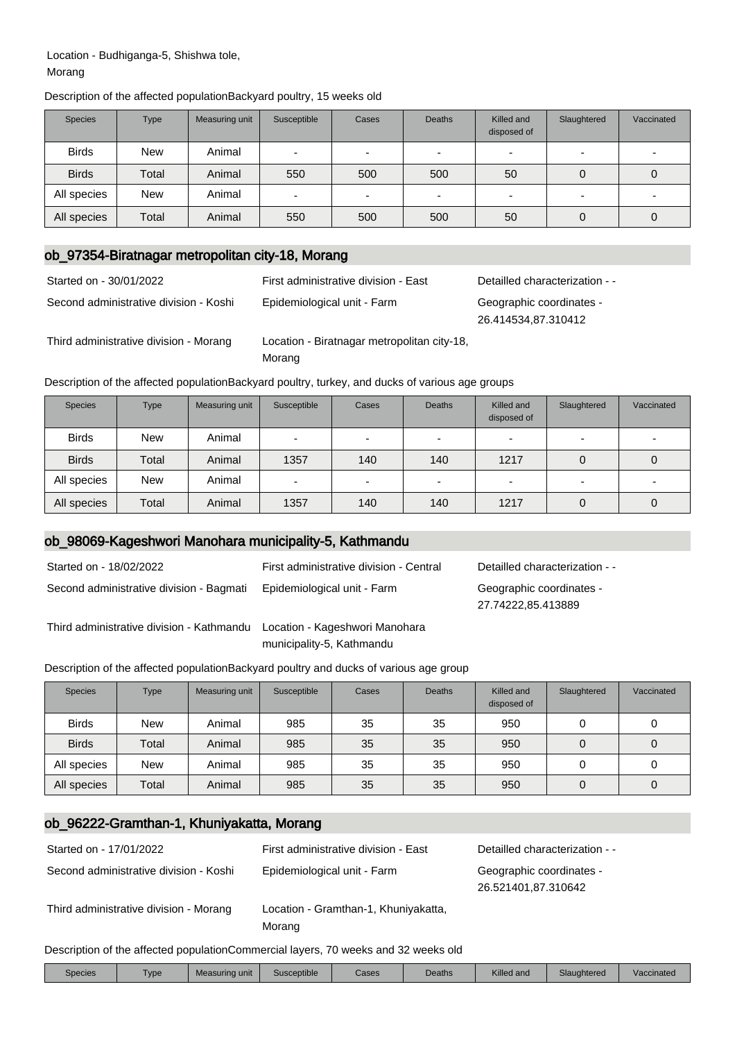#### Location - Budhiganga-5, Shishwa tole, Morang

|  | Description of the affected populationBackyard poultry, 15 weeks old |  |  |  |  |
|--|----------------------------------------------------------------------|--|--|--|--|
|--|----------------------------------------------------------------------|--|--|--|--|

| <b>Species</b> | <b>Type</b> | Measuring unit | Susceptible | Cases          | <b>Deaths</b>            | Killed and<br>disposed of | Slaughtered | Vaccinated               |
|----------------|-------------|----------------|-------------|----------------|--------------------------|---------------------------|-------------|--------------------------|
| <b>Birds</b>   | <b>New</b>  | Animal         | -           | $\blacksquare$ | $\overline{\phantom{a}}$ |                           | -           | $\overline{\phantom{0}}$ |
| <b>Birds</b>   | Total       | Animal         | 550         | 500            | 500                      | 50                        | 0           |                          |
| All species    | <b>New</b>  | Animal         | -           | $\sim$         |                          |                           |             |                          |
| All species    | Total       | Animal         | 550         | 500            | 500                      | 50                        | 0           |                          |

### ob\_97354-Biratnagar metropolitan city-18, Morang

| Started on - 30/01/2022                | First administrative division - East                  | Detailled characterization - -                  |
|----------------------------------------|-------------------------------------------------------|-------------------------------------------------|
| Second administrative division - Koshi | Epidemiological unit - Farm                           | Geographic coordinates -<br>26.414534,87.310412 |
| Third administrative division - Morang | Location - Biratnagar metropolitan city-18,<br>Morang |                                                 |

Description of the affected populationBackyard poultry, turkey, and ducks of various age groups

| <b>Species</b> | Type       | Measuring unit | Susceptible              | Cases                    | <b>Deaths</b> | Killed and<br>disposed of | Slaughtered              | Vaccinated |
|----------------|------------|----------------|--------------------------|--------------------------|---------------|---------------------------|--------------------------|------------|
| <b>Birds</b>   | <b>New</b> | Animal         | $\overline{\phantom{0}}$ | $\overline{\phantom{0}}$ | -             | -                         | $\overline{\phantom{0}}$ |            |
| <b>Birds</b>   | Total      | Animal         | 1357                     | 140                      | 140           | 1217                      | 0                        |            |
| All species    | <b>New</b> | Animal         | -                        | $\overline{\phantom{0}}$ |               | -                         | $\overline{\phantom{a}}$ |            |
| All species    | Total      | Animal         | 1357                     | 140                      | 140           | 1217                      | 0                        |            |

# ob\_98069-Kageshwori Manohara municipality-5, Kathmandu

| Started on - 18/02/2022                                                  | First administrative division - Central | Detailled characterization - -                 |
|--------------------------------------------------------------------------|-----------------------------------------|------------------------------------------------|
| Second administrative division - Bagmati                                 | Epidemiological unit - Farm             | Geographic coordinates -<br>27.74222,85.413889 |
| Third administrative division - Kathmandu Location - Kageshwori Manohara | municipality-5, Kathmandu               |                                                |

Description of the affected populationBackyard poultry and ducks of various age group

| <b>Species</b> | <b>Type</b> | Measuring unit | Susceptible | Cases | <b>Deaths</b> | Killed and<br>disposed of | Slaughtered | Vaccinated |
|----------------|-------------|----------------|-------------|-------|---------------|---------------------------|-------------|------------|
| <b>Birds</b>   | <b>New</b>  | Animal         | 985         | 35    | 35            | 950                       |             | 0          |
| <b>Birds</b>   | Total       | Animal         | 985         | 35    | 35            | 950                       | 0           | 0          |
| All species    | <b>New</b>  | Animal         | 985         | 35    | 35            | 950                       |             | 0          |
| All species    | Total       | Animal         | 985         | 35    | 35            | 950                       | 0           | 0          |

## ob\_96222-Gramthan-1, Khuniyakatta, Morang

| Started on - 17/01/2022                | First administrative division - East           | Detailled characterization - -                  |
|----------------------------------------|------------------------------------------------|-------------------------------------------------|
| Second administrative division - Koshi | Epidemiological unit - Farm                    | Geographic coordinates -<br>26.521401,87.310642 |
| Third administrative division - Morang | Location - Gramthan-1, Khuniyakatta,<br>Morang |                                                 |

Description of the affected populationCommercial layers, 70 weeks and 32 weeks old

| Species | Type | Measuring unit | Susceptible | Cases | Deaths | Killed and | Slaughtered | Vaccinated |
|---------|------|----------------|-------------|-------|--------|------------|-------------|------------|
|         |      |                |             |       |        |            |             |            |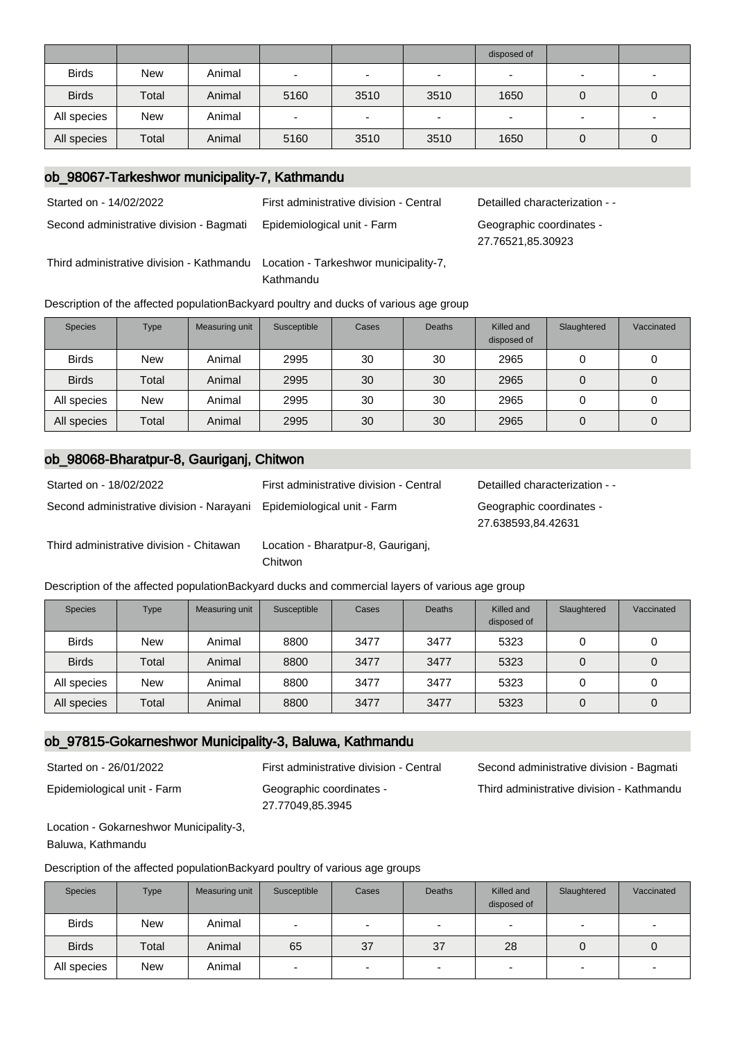|              |            |        |                          |                          |                          | disposed of |                |                          |
|--------------|------------|--------|--------------------------|--------------------------|--------------------------|-------------|----------------|--------------------------|
| <b>Birds</b> | <b>New</b> | Animal | $\overline{\phantom{0}}$ | $\overline{\phantom{0}}$ |                          |             | $\blacksquare$ |                          |
| <b>Birds</b> | Total      | Animal | 5160                     | 3510                     | 3510                     | 1650        |                | O                        |
| All species  | <b>New</b> | Animal | $\overline{\phantom{0}}$ | $\overline{\phantom{0}}$ | $\overline{\phantom{0}}$ |             | $\overline{a}$ | $\overline{\phantom{0}}$ |
| All species  | Total      | Animal | 5160                     | 3510                     | 3510                     | 1650        |                | O                        |

## ob\_98067-Tarkeshwor municipality-7, Kathmandu

Started on - 14/02/2022 First administrative division - Central Detailled characterization - -

Third administrative division - Kathmandu Location - Tarkeshwor municipality-7,

Second administrative division - Bagmati Epidemiological unit - Farm Geographic coordinates -

Kathmandu

Description of the affected populationBackyard poultry and ducks of various age group

| <b>Species</b> | Type       | Measuring unit | Susceptible | Cases | <b>Deaths</b> | Killed and<br>disposed of | Slaughtered | Vaccinated |
|----------------|------------|----------------|-------------|-------|---------------|---------------------------|-------------|------------|
| <b>Birds</b>   | <b>New</b> | Animal         | 2995        | 30    | 30            | 2965                      |             |            |
| <b>Birds</b>   | Total      | Animal         | 2995        | 30    | 30            | 2965                      |             | 0          |
| All species    | <b>New</b> | Animal         | 2995        | 30    | 30            | 2965                      |             | 0          |
| All species    | Total      | Animal         | 2995        | 30    | 30            | 2965                      | 0           | 0          |

#### ob\_98068-Bharatpur-8, Gauriganj, Chitwon

| Started on - 18/02/2022                                               | First administrative division - Central | Detailled characterization - -                 |
|-----------------------------------------------------------------------|-----------------------------------------|------------------------------------------------|
| Second administrative division - Narayani Epidemiological unit - Farm |                                         | Geographic coordinates -<br>27.638593,84.42631 |
| Third odminictrative division Chitowan                                | cootian Dharataur 0 Caurigani           |                                                |

Third administrative division - Chitawan Location - Bharatpur-8, Gauriganj,

Chitwon

Description of the affected populationBackyard ducks and commercial layers of various age group

| <b>Species</b> | <b>Type</b> | Measuring unit | Susceptible | Cases | <b>Deaths</b> | Killed and<br>disposed of | Slaughtered | Vaccinated |
|----------------|-------------|----------------|-------------|-------|---------------|---------------------------|-------------|------------|
| <b>Birds</b>   | New         | Animal         | 8800        | 3477  | 3477          | 5323                      |             | U          |
| <b>Birds</b>   | Total       | Animal         | 8800        | 3477  | 3477          | 5323                      |             | 0          |
| All species    | <b>New</b>  | Animal         | 8800        | 3477  | 3477          | 5323                      |             | O          |
| All species    | Total       | Animal         | 8800        | 3477  | 3477          | 5323                      |             | 0          |

# ob\_97815-Gokarneshwor Municipality-3, Baluwa, Kathmandu

Epidemiological unit - Farm Geographic coordinates -

27.77049,85.3945

Started on - 26/01/2022 First administrative division - Central Second administrative division - Bagmati Third administrative division - Kathmandu

27.76521,85.30923

Location - Gokarneshwor Municipality-3, Baluwa, Kathmandu

Description of the affected populationBackyard poultry of various age groups

| <b>Species</b> | <b>Type</b> | Measuring unit | Susceptible              | Cases                    | <b>Deaths</b>            | Killed and<br>disposed of | Slaughtered              | Vaccinated     |
|----------------|-------------|----------------|--------------------------|--------------------------|--------------------------|---------------------------|--------------------------|----------------|
| <b>Birds</b>   | <b>New</b>  | Animal         | $\overline{\phantom{0}}$ | $\overline{\phantom{0}}$ | $\overline{\phantom{0}}$ |                           |                          |                |
| <b>Birds</b>   | Total       | Animal         | 65                       | 37                       | 37                       | 28                        | 0                        |                |
| All species    | <b>New</b>  | Animal         | $\overline{\phantom{0}}$ | $\overline{\phantom{a}}$ | $\overline{\phantom{0}}$ |                           | $\overline{\phantom{0}}$ | $\overline{a}$ |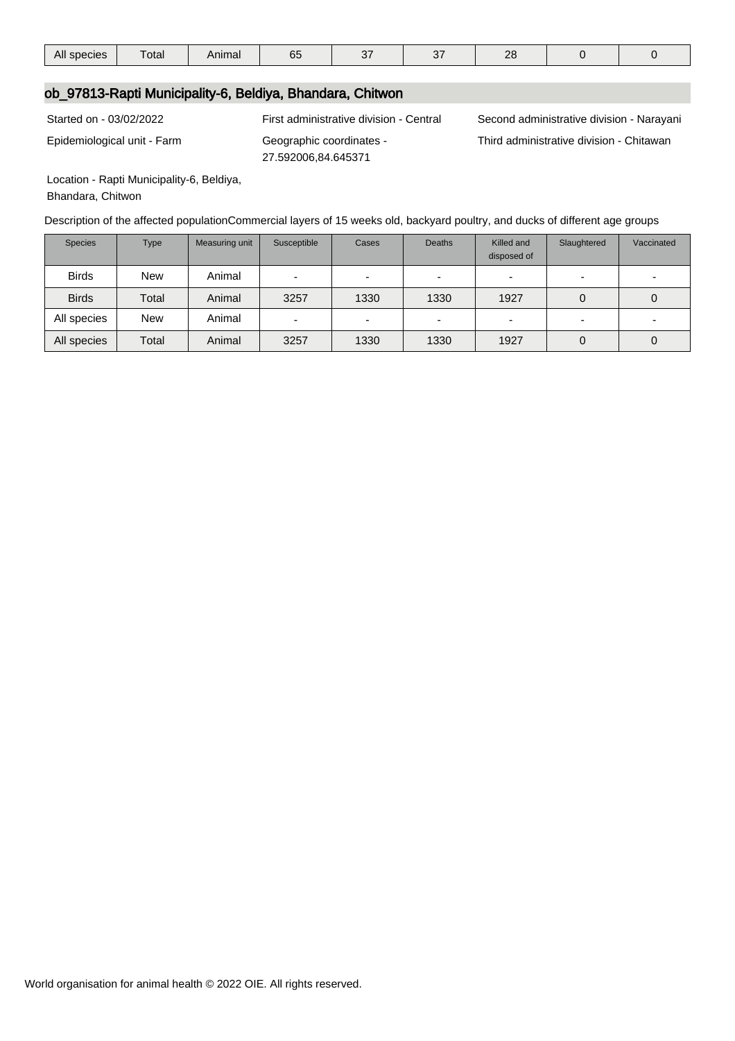| All species | ____<br>otal | Animal | uu | --- | $-2$<br>، ب | $\Omega$<br>$-$ |  |  |
|-------------|--------------|--------|----|-----|-------------|-----------------|--|--|
|-------------|--------------|--------|----|-----|-------------|-----------------|--|--|

### ob\_97813-Rapti Municipality-6, Beldiya, Bhandara, Chitwon

Epidemiological unit - Farm Geographic coordinates - 27.592006,84.645371

Started on - 03/02/2022 First administrative division - Central Second administrative division - Narayani

Third administrative division - Chitawan

Location - Rapti Municipality-6, Beldiya,

Bhandara, Chitwon

Description of the affected populationCommercial layers of 15 weeks old, backyard poultry, and ducks of different age groups

| <b>Species</b> | <b>Type</b> | Measuring unit | Susceptible              | Cases                    | <b>Deaths</b>            | Killed and<br>disposed of | Slaughtered              | Vaccinated |
|----------------|-------------|----------------|--------------------------|--------------------------|--------------------------|---------------------------|--------------------------|------------|
| <b>Birds</b>   | <b>New</b>  | Animal         | $\overline{\phantom{0}}$ | $\overline{\phantom{0}}$ | $\overline{\phantom{0}}$ |                           | $\overline{\phantom{0}}$ |            |
| <b>Birds</b>   | Total       | Animal         | 3257                     | 1330                     | 1330                     | 1927                      | 0                        | 0          |
| All species    | <b>New</b>  | Animal         | -                        | ٠                        | $\overline{\phantom{0}}$ |                           | $\overline{\phantom{0}}$ |            |
| All species    | Total       | Animal         | 3257                     | 1330                     | 1330                     | 1927                      | 0                        | 0          |